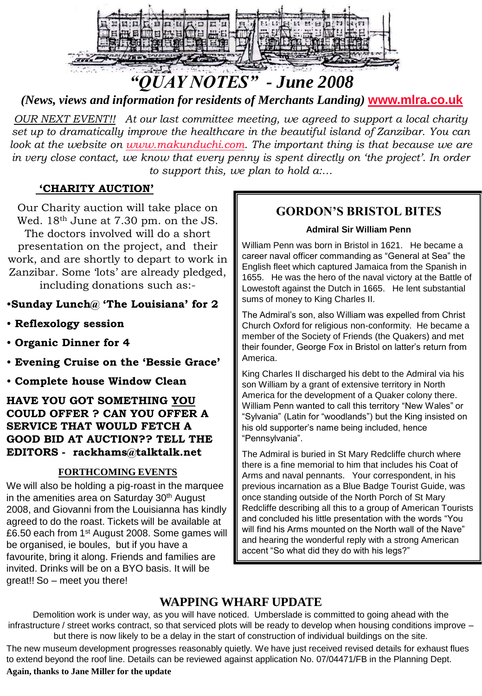

# *"QUAY NOTES" - June 2008*

*(News, views and information for residents of Merchants Landing)* **[www.mlra.co.uk](http://www.mlra.co.uk/)**

*OUR NEXT EVENT!! At our last committee meeting, we agreed to support a local charity set up to dramatically improve the healthcare in the beautiful island of Zanzibar. You can look at the website on [www.makunduchi.com.](http://www.makunduchi.com/) The important thing is that because we are*  in very close contact, we know that every penny is spent directly on 'the project'. In order *to support this, we plan to hold a:…*

# **'CHARITY AUCTION'**

Our Charity auction will take place on Wed. 18<sup>th</sup> June at 7.30 pm. on the JS. The doctors involved will do a short presentation on the project, and their work, and are shortly to depart to work in Zanzibar. Some 'lots' are already pledged, including donations such as:-

# •**Sunday Lunch@ 'The Louisiana' for 2**

- **Reflexology session**
- **Organic Dinner for 4**
- **Evening Cruise on the 'Bessie Grace'**
- **Complete house Window Clean**

## **HAVE YOU GOT SOMETHING YOU COULD OFFER ? CAN YOU OFFER A SERVICE THAT WOULD FETCH A GOOD BID AT AUCTION?? TELL THE EDITORS - rackhams@talktalk.net**

### **FORTHCOMING EVENTS**

We will also be holding a pig-roast in the marquee in the amenities area on Saturday 30<sup>th</sup> August 2008, and Giovanni from the Louisianna has kindly agreed to do the roast. Tickets will be available at £6.50 each from 1<sup>st</sup> August 2008. Some games will be organised, ie boules, but if you have a favourite, bring it along. Friends and families are invited. Drinks will be on a BYO basis. It will be great!! So – meet you there!

# **GORDON'S BRISTOL BITES**

#### **Admiral Sir William Penn**

William Penn was born in Bristol in 1621. He became a career naval officer commanding as "General at Sea" the English fleet which captured Jamaica from the Spanish in 1655. He was the hero of the naval victory at the Battle of Lowestoft against the Dutch in 1665. He lent substantial sums of money to King Charles II.

The Admiral's son, also William was expelled from Christ Church Oxford for religious non-conformity. He became a member of the Society of Friends (the Quakers) and met their founder, George Fox in Bristol on latter's return from America.

King Charles II discharged his debt to the Admiral via his son William by a grant of extensive territory in North America for the development of a Quaker colony there. William Penn wanted to call this territory "New Wales" or "Sylvania" (Latin for "woodlands") but the King insisted on his old supporter's name being included, hence "Pennsylvania".

The Admiral is buried in St Mary Redcliffe church where there is a fine memorial to him that includes his Coat of Arms and naval pennants. Your correspondent, in his previous incarnation as a Blue Badge Tourist Guide, was once standing outside of the North Porch of St Mary Redcliffe describing all this to a group of American Tourists and concluded his little presentation with the words "You will find his Arms mounted on the North wall of the Nave" and hearing the wonderful reply with a strong American accent "So what did they do with his legs?"

# **WAPPING WHARF UPDATE**

Demolition work is under way, as you will have noticed. Umberslade is committed to going ahead with the infrastructure / street works contract, so that serviced plots will be ready to develop when housing conditions improve – but there is now likely to be a delay in the start of construction of individual buildings on the site.

The new museum development progresses reasonably quietly. We have just received revised details for exhaust flues to extend beyond the roof line. Details can be reviewed against application No. 07/04471/FB in the Planning Dept.

#### **Again, thanks to Jane Miller for the update**